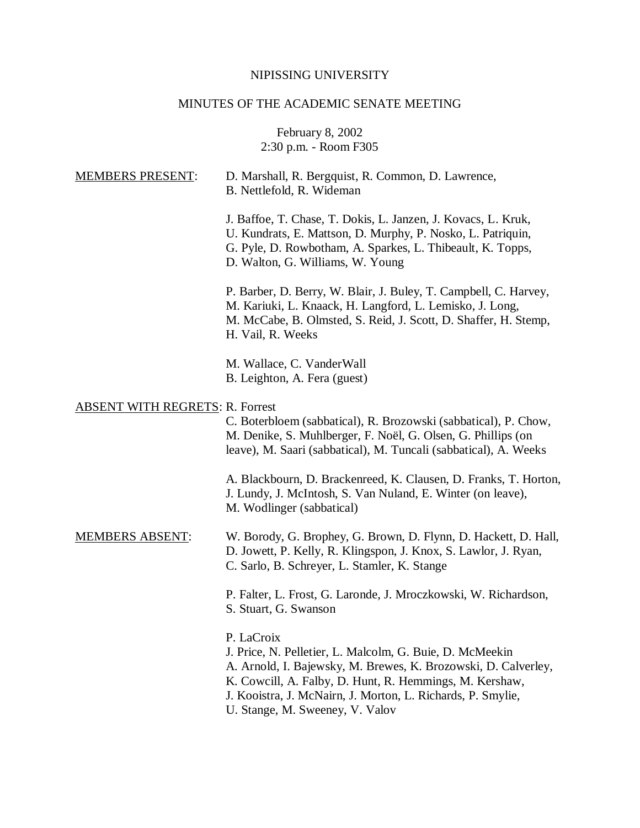## NIPISSING UNIVERSITY

## MINUTES OF THE ACADEMIC SENATE MEETING

February 8, 2002 2:30 p.m. - Room F305

| <b>MEMBERS PRESENT:</b>                | D. Marshall, R. Bergquist, R. Common, D. Lawrence,<br>B. Nettlefold, R. Wideman                                                                                                                                                |
|----------------------------------------|--------------------------------------------------------------------------------------------------------------------------------------------------------------------------------------------------------------------------------|
|                                        | J. Baffoe, T. Chase, T. Dokis, L. Janzen, J. Kovacs, L. Kruk,<br>U. Kundrats, E. Mattson, D. Murphy, P. Nosko, L. Patriquin,<br>G. Pyle, D. Rowbotham, A. Sparkes, L. Thibeault, K. Topps,<br>D. Walton, G. Williams, W. Young |
|                                        | P. Barber, D. Berry, W. Blair, J. Buley, T. Campbell, C. Harvey,<br>M. Kariuki, L. Knaack, H. Langford, L. Lemisko, J. Long,<br>M. McCabe, B. Olmsted, S. Reid, J. Scott, D. Shaffer, H. Stemp,<br>H. Vail, R. Weeks           |
|                                        | M. Wallace, C. VanderWall<br>B. Leighton, A. Fera (guest)                                                                                                                                                                      |
| <b>ABSENT WITH REGRETS: R. Forrest</b> |                                                                                                                                                                                                                                |
|                                        | C. Boterbloem (sabbatical), R. Brozowski (sabbatical), P. Chow,<br>M. Denike, S. Muhlberger, F. Noël, G. Olsen, G. Phillips (on<br>leave), M. Saari (sabbatical), M. Tuncali (sabbatical), A. Weeks                            |
|                                        | A. Blackbourn, D. Brackenreed, K. Clausen, D. Franks, T. Horton,<br>J. Lundy, J. McIntosh, S. Van Nuland, E. Winter (on leave),<br>M. Wodlinger (sabbatical)                                                                   |
| <b>MEMBERS ABSENT:</b>                 | W. Borody, G. Brophey, G. Brown, D. Flynn, D. Hackett, D. Hall,<br>D. Jowett, P. Kelly, R. Klingspon, J. Knox, S. Lawlor, J. Ryan,<br>C. Sarlo, B. Schreyer, L. Stamler, K. Stange                                             |
|                                        | P. Falter, L. Frost, G. Laronde, J. Mroczkowski, W. Richardson,<br>S. Stuart, G. Swanson                                                                                                                                       |
|                                        | P. LaCroix<br>J. Price, N. Pelletier, L. Malcolm, G. Buie, D. McMeekin                                                                                                                                                         |

A. Arnold, I. Bajewsky, M. Brewes, K. Brozowski, D. Calverley,

K. Cowcill, A. Falby, D. Hunt, R. Hemmings, M. Kershaw,

J. Kooistra, J. McNairn, J. Morton, L. Richards, P. Smylie,

U. Stange, M. Sweeney, V. Valov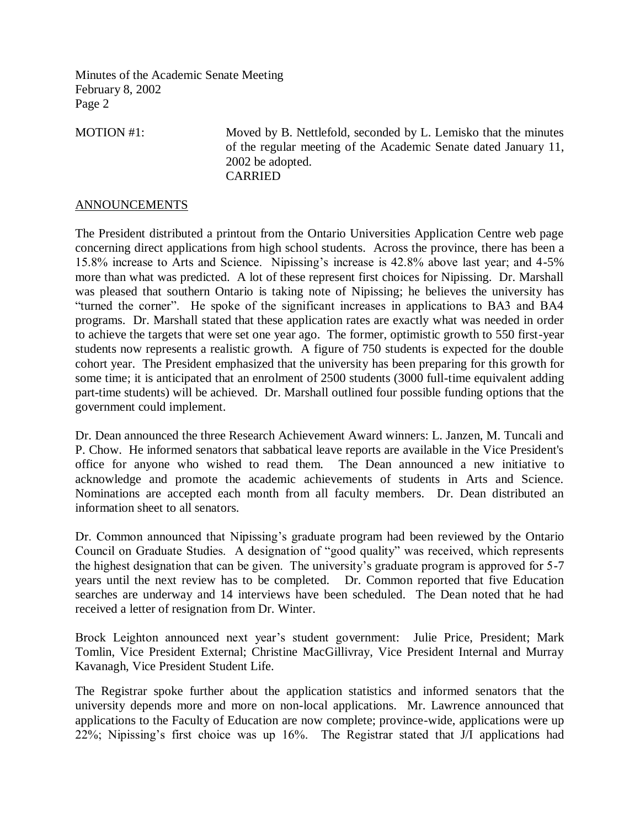MOTION #1: Moved by B. Nettlefold, seconded by L. Lemisko that the minutes of the regular meeting of the Academic Senate dated January 11, 2002 be adopted. CARRIED

## ANNOUNCEMENTS

The President distributed a printout from the Ontario Universities Application Centre web page concerning direct applications from high school students. Across the province, there has been a 15.8% increase to Arts and Science. Nipissing's increase is 42.8% above last year; and 4-5% more than what was predicted. A lot of these represent first choices for Nipissing. Dr. Marshall was pleased that southern Ontario is taking note of Nipissing; he believes the university has "turned the corner". He spoke of the significant increases in applications to BA3 and BA4 programs. Dr. Marshall stated that these application rates are exactly what was needed in order to achieve the targets that were set one year ago. The former, optimistic growth to 550 first-year students now represents a realistic growth. A figure of 750 students is expected for the double cohort year. The President emphasized that the university has been preparing for this growth for some time; it is anticipated that an enrolment of 2500 students (3000 full-time equivalent adding part-time students) will be achieved. Dr. Marshall outlined four possible funding options that the government could implement.

Dr. Dean announced the three Research Achievement Award winners: L. Janzen, M. Tuncali and P. Chow. He informed senators that sabbatical leave reports are available in the Vice President's office for anyone who wished to read them. The Dean announced a new initiative to acknowledge and promote the academic achievements of students in Arts and Science. Nominations are accepted each month from all faculty members. Dr. Dean distributed an information sheet to all senators.

Dr. Common announced that Nipissing's graduate program had been reviewed by the Ontario Council on Graduate Studies. A designation of "good quality" was received, which represents the highest designation that can be given. The university's graduate program is approved for 5-7 years until the next review has to be completed. Dr. Common reported that five Education searches are underway and 14 interviews have been scheduled. The Dean noted that he had received a letter of resignation from Dr. Winter.

Brock Leighton announced next year's student government: Julie Price, President; Mark Tomlin, Vice President External; Christine MacGillivray, Vice President Internal and Murray Kavanagh, Vice President Student Life.

The Registrar spoke further about the application statistics and informed senators that the university depends more and more on non-local applications. Mr. Lawrence announced that applications to the Faculty of Education are now complete; province-wide, applications were up 22%; Nipissing's first choice was up 16%. The Registrar stated that J/I applications had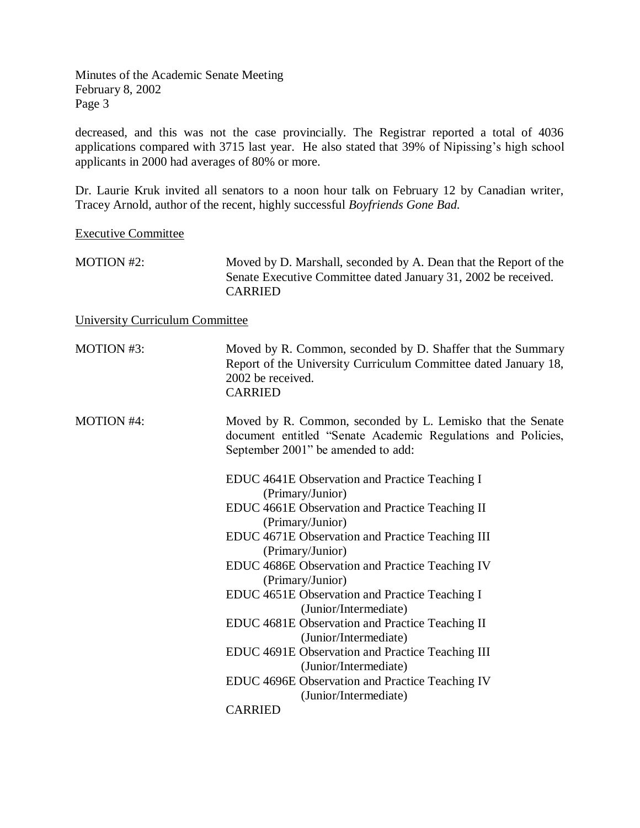decreased, and this was not the case provincially. The Registrar reported a total of 4036 applications compared with 3715 last year. He also stated that 39% of Nipissing's high school applicants in 2000 had averages of 80% or more.

Dr. Laurie Kruk invited all senators to a noon hour talk on February 12 by Canadian writer, Tracey Arnold, author of the recent, highly successful *Boyfriends Gone Bad.*

Executive Committee

| <b>MOTION #2:</b>                      | Moved by D. Marshall, seconded by A. Dean that the Report of the<br>Senate Executive Committee dated January 31, 2002 be received.<br><b>CARRIED</b>                  |
|----------------------------------------|-----------------------------------------------------------------------------------------------------------------------------------------------------------------------|
| <b>University Curriculum Committee</b> |                                                                                                                                                                       |
| MOTION #3:                             | Moved by R. Common, seconded by D. Shaffer that the Summary<br>Report of the University Curriculum Committee dated January 18,<br>2002 be received.<br><b>CARRIED</b> |
| <b>MOTION #4:</b>                      | Moved by R. Common, seconded by L. Lemisko that the Senate<br>document entitled "Senate Academic Regulations and Policies,<br>September 2001" be amended to add:      |
|                                        | EDUC 4641E Observation and Practice Teaching I<br>(Primary/Junior)                                                                                                    |
|                                        | EDUC 4661E Observation and Practice Teaching II<br>(Primary/Junior)                                                                                                   |
|                                        | EDUC 4671E Observation and Practice Teaching III<br>(Primary/Junior)                                                                                                  |
|                                        | EDUC 4686E Observation and Practice Teaching IV<br>(Primary/Junior)                                                                                                   |
|                                        | EDUC 4651E Observation and Practice Teaching I<br>(Junior/Intermediate)                                                                                               |
|                                        | EDUC 4681E Observation and Practice Teaching II<br>(Junior/Intermediate)                                                                                              |
|                                        | EDUC 4691E Observation and Practice Teaching III<br>(Junior/Intermediate)                                                                                             |
|                                        | EDUC 4696E Observation and Practice Teaching IV<br>(Junior/Intermediate)                                                                                              |
|                                        | <b>CARRIED</b>                                                                                                                                                        |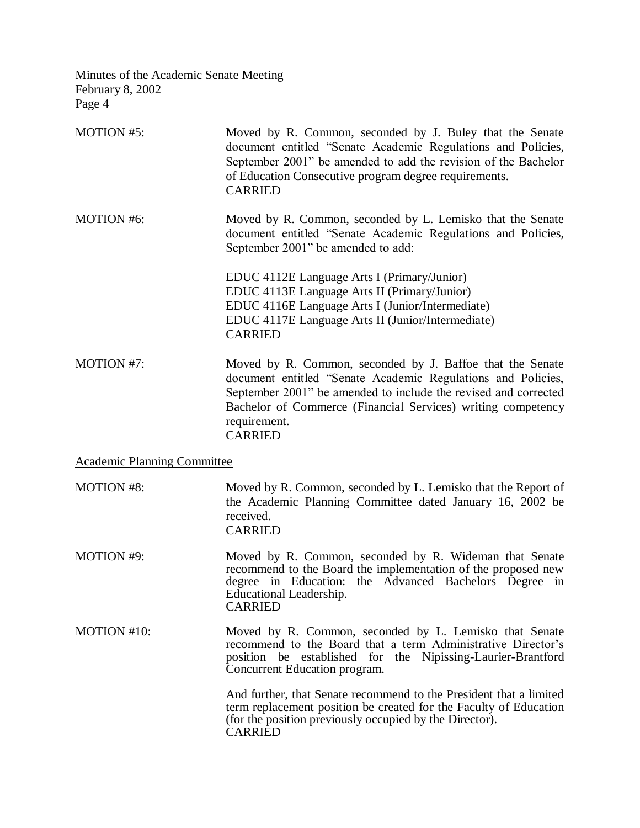| MOTION #5:                         | Moved by R. Common, seconded by J. Buley that the Senate<br>document entitled "Senate Academic Regulations and Policies,<br>September 2001" be amended to add the revision of the Bachelor<br>of Education Consecutive program degree requirements.<br><b>CARRIED</b>                          |  |
|------------------------------------|------------------------------------------------------------------------------------------------------------------------------------------------------------------------------------------------------------------------------------------------------------------------------------------------|--|
| MOTION #6:                         | Moved by R. Common, seconded by L. Lemisko that the Senate<br>document entitled "Senate Academic Regulations and Policies,<br>September 2001" be amended to add:                                                                                                                               |  |
|                                    | EDUC 4112E Language Arts I (Primary/Junior)<br>EDUC 4113E Language Arts II (Primary/Junior)<br>EDUC 4116E Language Arts I (Junior/Intermediate)<br>EDUC 4117E Language Arts II (Junior/Intermediate)<br><b>CARRIED</b>                                                                         |  |
| MOTION #7:                         | Moved by R. Common, seconded by J. Baffoe that the Senate<br>document entitled "Senate Academic Regulations and Policies,<br>September 2001" be amended to include the revised and corrected<br>Bachelor of Commerce (Financial Services) writing competency<br>requirement.<br><b>CARRIED</b> |  |
| <b>Academic Planning Committee</b> |                                                                                                                                                                                                                                                                                                |  |
| <b>MOTION #8:</b>                  | Moved by R. Common, seconded by L. Lemisko that the Report of<br>the Academic Planning Committee dated January 16, 2002 be<br>received.<br><b>CARRIED</b>                                                                                                                                      |  |
| MOTION #9:                         | Moved by R. Common, seconded by R. Wideman that Senate<br>recommend to the Board the implementation of the proposed new<br>degree in Education: the Advanced Bachelors Degree in<br>Educational Leadership.<br><b>CARRIED</b>                                                                  |  |
| MOTION #10:                        | Moved by R. Common, seconded by L. Lemisko that Senate<br>recommend to the Board that a term Administrative Director's<br>position be established for the Nipissing-Laurier-Brantford<br>Concurrent Education program.                                                                         |  |
|                                    | And further, that Senate recommend to the President that a limited<br>term replacement position be created for the Faculty of Education<br>(for the position previously occupied by the Director).<br><b>CARRIED</b>                                                                           |  |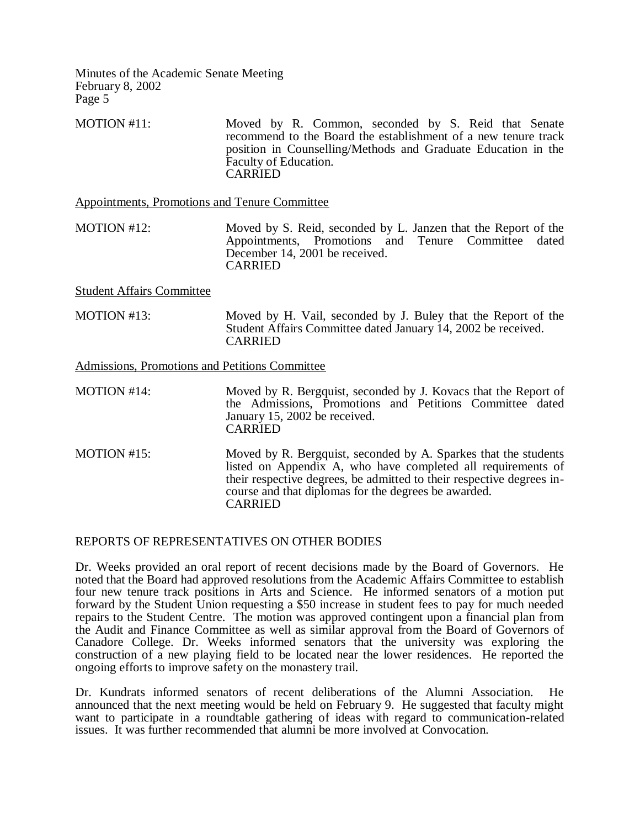MOTION #11: Moved by R. Common, seconded by S. Reid that Senate recommend to the Board the establishment of a new tenure track position in Counselling/Methods and Graduate Education in the Faculty of Education. CARRIED

Appointments, Promotions and Tenure Committee

MOTION #12: Moved by S. Reid, seconded by L. Janzen that the Report of the Appointments, Promotions and Tenure Committee dated December 14, 2001 be received. CARRIED

Student Affairs Committee

MOTION #13: Moved by H. Vail, seconded by J. Buley that the Report of the Student Affairs Committee dated January 14, 2002 be received. CARRIED

Admissions, Promotions and Petitions Committee

MOTION #14: Moved by R. Bergquist, seconded by J. Kovacs that the Report of the Admissions, Promotions and Petitions Committee dated January 15, 2002 be received. CARRIED

MOTION #15: Moved by R. Bergquist, seconded by A. Sparkes that the students listed on Appendix A, who have completed all requirements of their respective degrees, be admitted to their respective degrees incourse and that diplomas for the degrees be awarded. CARRIED

## REPORTS OF REPRESENTATIVES ON OTHER BODIES

Dr. Weeks provided an oral report of recent decisions made by the Board of Governors. He noted that the Board had approved resolutions from the Academic Affairs Committee to establish four new tenure track positions in Arts and Science. He informed senators of a motion put forward by the Student Union requesting a \$50 increase in student fees to pay for much needed repairs to the Student Centre. The motion was approved contingent upon a financial plan from the Audit and Finance Committee as well as similar approval from the Board of Governors of Canadore College. Dr. Weeks informed senators that the university was exploring the construction of a new playing field to be located near the lower residences. He reported the ongoing efforts to improve safety on the monastery trail.

Dr. Kundrats informed senators of recent deliberations of the Alumni Association. He announced that the next meeting would be held on February 9. He suggested that faculty might want to participate in a roundtable gathering of ideas with regard to communication-related issues. It was further recommended that alumni be more involved at Convocation.